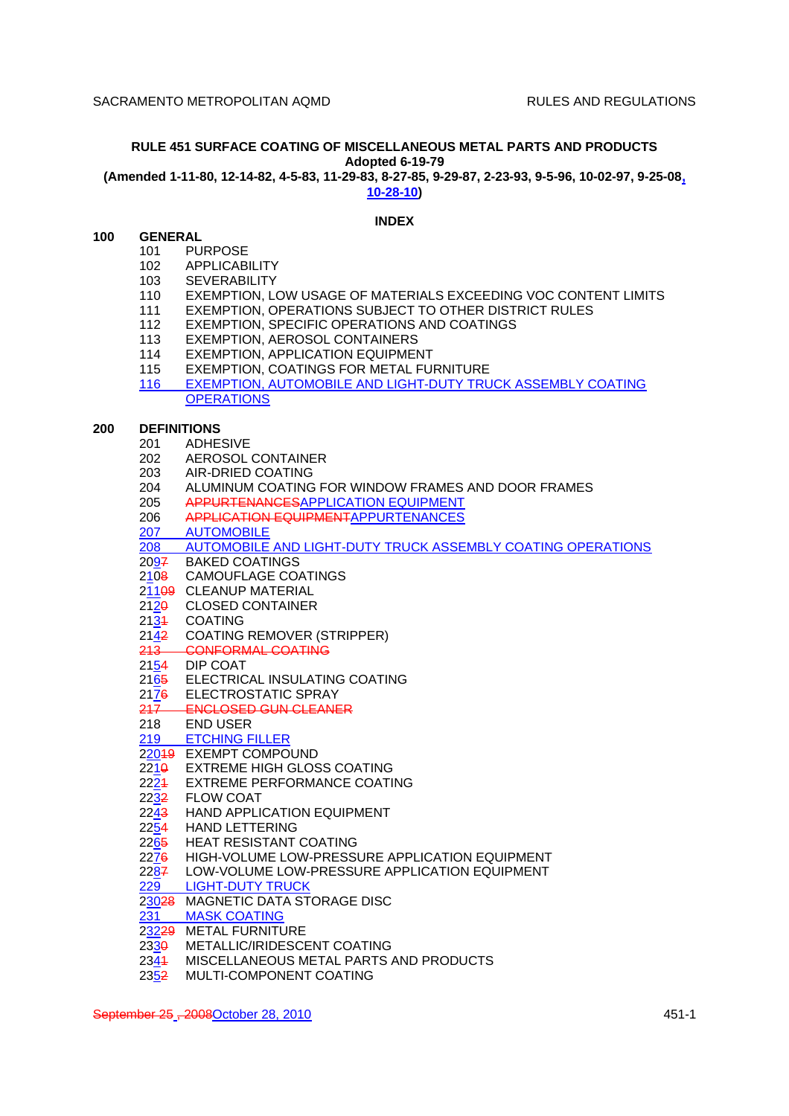# **RULE 451 SURFACE COATING OF MISCELLANEOUS METAL PARTS AND PRODUCTS Adopted 6-19-79**

**(Amended 1-11-80, 12-14-82, 4-5-83, 11-29-83, 8-27-85, 9-29-87, 2-23-93, 9-5-96, 10-02-97, 9-25-08,**

**10-28-10)**

# **INDEX**

# **100 GENERAL**

- 101 PURPOSE
- 102 APPLICABILITY
- 103 SEVERABILITY
- 110 EXEMPTION, LOW USAGE OF MATERIALS EXCEEDING VOC CONTENT LIMITS<br>111 EXEMPTION, OPERATIONS SUBJECT TO OTHER DISTRICT RULES
- 111 EXEMPTION, OPERATIONS SUBJECT TO OTHER DISTRICT RULES<br>112 EXEMPTION, SPECIFIC OPERATIONS AND COATINGS
- EXEMPTION, SPECIFIC OPERATIONS AND COATINGS
- 113 EXEMPTION, AEROSOL CONTAINERS
- 114 EXEMPTION, APPLICATION EQUIPMENT
- 115 EXEMPTION, COATINGS FOR METAL FURNITURE<br>116 EXEMPTION, AUTOMOBILE AND LIGHT-DUTY TRU
- **EXEMPTION, AUTOMOBILE AND LIGHT-DUTY TRUCK ASSEMBLY COATING OPERATIONS**

# **200 DEFINITIONS**

- 201 ADHESIVE
- 202 AEROSOL CONTAINER
- 203 AIR-DRIED COATING
- 204 ALUMINUM COATING FOR WINDOW FRAMES AND DOOR FRAMES
- 205 APPURTENANCESAPPLICATION EQUIPMENT
- 206 APPLICATION EQUIPMENTAPPURTENANCES
- 207 AUTOMOBILE
- 208 AUTOMOBILE AND LIGHT-DUTY TRUCK ASSEMBLY COATING OPERATIONS
- 2097 BAKED COATINGS
- 2108 CAMOUFLAGE COATINGS
- 21109 CLEANUP MATERIAL
- 2120 CLOSED CONTAINER
- 2134 COATING
- 2142 COATING REMOVER (STRIPPER)
- 213 CONFORMAL COATING
- 2154 DIP COAT
- 2165 ELECTRICAL INSULATING COATING
- 2176 ELECTROSTATIC SPRAY
- 217 ENCLOSED GUN CLEANER
- 218 END USER
- 219 ETCHING FILLER
- 22019 EXEMPT COMPOUND
- 221<del>0</del> EXTREME HIGH GLOSS COATING
- 2224 EXTREME PERFORMANCE COATING
- 2232 FLOW COAT
- 2243 HAND APPLICATION EQUIPMENT
- 2254 HAND LETTERING
- 2265 HEAT RESISTANT COATING
- 2276 HIGH-VOLUME LOW-PRESSURE APPLICATION EQUIPMENT
- 22<u>8</u>7 LOW-VOLUME LOW-PRESSURE APPLICATION EQUIPMENT
- 229 LIGHT-DUTY TRUCK
- 23028 MAGNETIC DATA STORAGE DISC
- 231 MASK COATING
- 23229 METAL FURNITURE
- 2330 METALLIC/IRIDESCENT COATING
- 2341 MISCELLANEOUS METAL PARTS AND PRODUCTS
- 2352 MULTI-COMPONENT COATING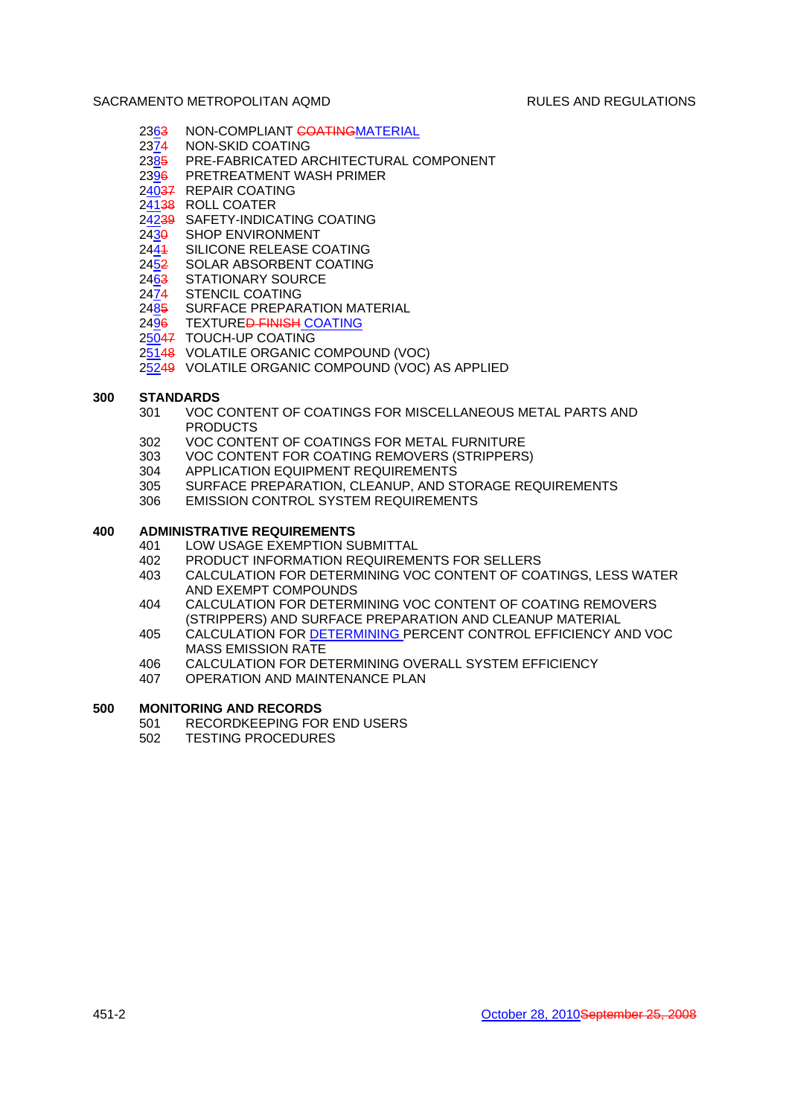- 2363 NON-COMPLIANT COATINGMATERIAL
- 2374 NON-SKID COATING
- 2385 PRE-FABRICATED ARCHITECTURAL COMPONENT
- 2396 PRETREATMENT WASH PRIMER
- 24037 REPAIR COATING
- 24138 ROLL COATER
- 24239 SAFETY-INDICATING COATING
- 2430 SHOP ENVIRONMENT
- 2441 SILICONE RELEASE COATING
- 2452 SOLAR ABSORBENT COATING
- 2463 STATIONARY SOURCE
- 2474 STENCIL COATING
- 2485 SURFACE PREPARATION MATERIAL
- 2496 TEXTURE<del>D FINISH</del> COATING
- 25047 TOUCH-UP COATING
- 25148 VOLATILE ORGANIC COMPOUND (VOC)
- 25249 VOLATILE ORGANIC COMPOUND (VOC) AS APPLIED

### **300 STANDARDS**

- 301 VOC CONTENT OF COATINGS FOR MISCELLANEOUS METAL PARTS AND PRODUCTS
- 302 VOC CONTENT OF COATINGS FOR METAL FURNITURE
- 303 VOC CONTENT FOR COATING REMOVERS (STRIPPERS)
- 304 APPLICATION EQUIPMENT REQUIREMENTS
- 305 SURFACE PREPARATION, CLEANUP, AND STORAGE REQUIREMENTS
- 306 EMISSION CONTROL SYSTEM REQUIREMENTS

# **400 ADMINISTRATIVE REQUIREMENTS**

- 401 LOW USAGE EXEMPTION SUBMITTAL
- 402 PRODUCT INFORMATION REQUIREMENTS FOR SELLERS
- 403 CALCULATION FOR DETERMINING VOC CONTENT OF COATINGS, LESS WATER AND EXEMPT COMPOUNDS
- 404 CALCULATION FOR DETERMINING VOC CONTENT OF COATING REMOVERS (STRIPPERS) AND SURFACE PREPARATION AND CLEANUP MATERIAL
- 405 CALCULATION FOR DETERMINING PERCENT CONTROL EFFICIENCY AND VOC MASS EMISSION RATE
- 406 CALCULATION FOR DETERMINING OVERALL SYSTEM EFFICIENCY
- 407 OPERATION AND MAINTENANCE PLAN

# **500 MONITORING AND RECORDS**

- 501 RECORDKEEPING FOR END USERS
- 502 TESTING PROCEDURES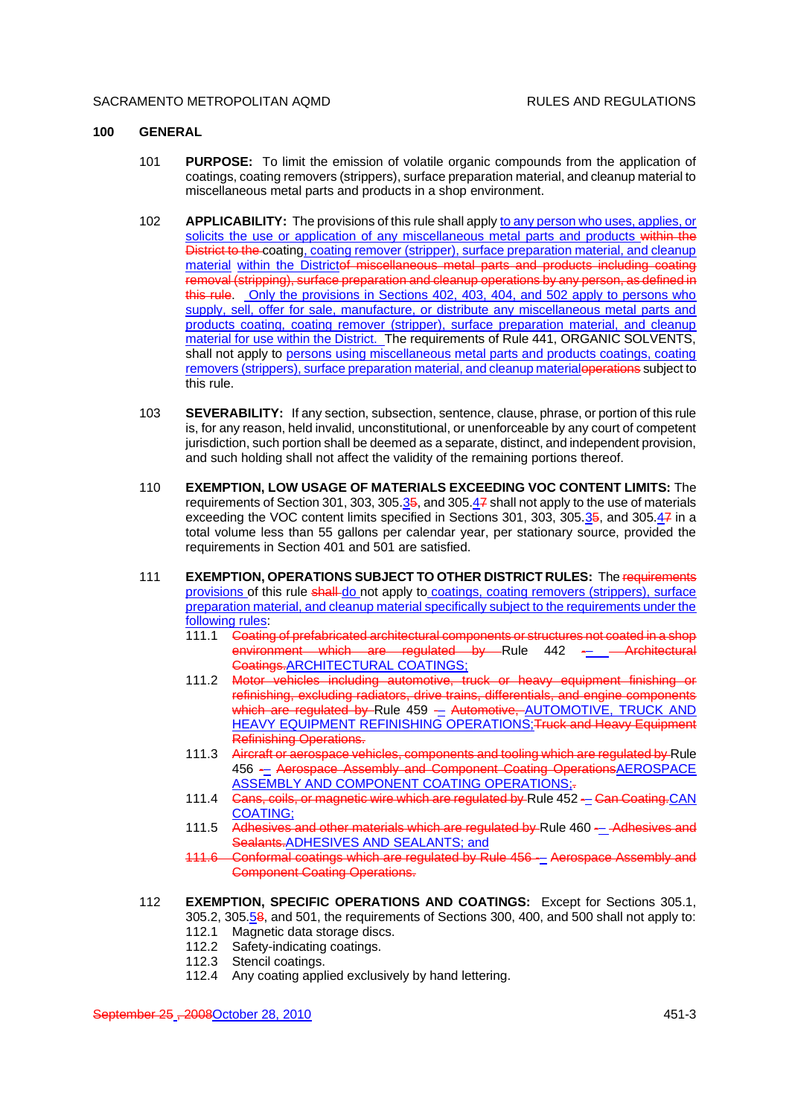# **100 GENERAL**

- 101 **PURPOSE:** To limit the emission of volatile organic compounds from the application of coatings, coating removers (strippers), surface preparation material, and cleanup material to miscellaneous metal parts and products in a shop environment.
- 102 **APPLICABILITY:** The provisions of this rule shall apply to any person who uses, applies, or solicits the use or application of any miscellaneous metal parts and products within the District to the coating, coating remover (stripper), surface preparation material, and cleanup material within the Districtof miscellaneous metal parts and products including coating removal (stripping), surface preparation and cleanup operations by any person, as defined in this rule. Only the provisions in Sections 402, 403, 404, and 502 apply to persons who supply, sell, offer for sale, manufacture, or distribute any miscellaneous metal parts and products coating, coating remover (stripper), surface preparation material, and cleanup material for use within the District. The requirements of Rule 441, ORGANIC SOLVENTS, shall not apply to persons using miscellaneous metal parts and products coatings, coating removers (strippers), surface preparation material, and cleanup material operations subject to this rule.
- 103 **SEVERABILITY:** If any section, subsection, sentence, clause, phrase, or portion of this rule is, for any reason, held invalid, unconstitutional, or unenforceable by any court of competent jurisdiction, such portion shall be deemed as a separate, distinct, and independent provision, and such holding shall not affect the validity of the remaining portions thereof.
- 110 **EXEMPTION, LOW USAGE OF MATERIALS EXCEEDING VOC CONTENT LIMITS:** The requirements of Section 301, 303, 305.35, and 305.47 shall not apply to the use of materials exceeding the VOC content limits specified in Sections 301, 303, 305.35, and 305.47 in a total volume less than 55 gallons per calendar year, per stationary source, provided the requirements in Section 401 and 501 are satisfied.
- 111 **EXEMPTION, OPERATIONS SUBJECT TO OTHER DISTRICT RULES:** The requirements provisions of this rule shall-do not apply to coatings, coating removers (strippers), surface preparation material, and cleanup material specifically subject to the requirements under the following rules:
	- 111.1 Coating of prefabricated architectural components or structures not coated in a shop environment which are regulated by Rule 442 - Architectural Coatings.ARCHITECTURAL COATINGS;
	- 111.2 Motor vehicles including automotive, truck or heavy equipment finishing or refinishing, excluding radiators, drive trains, differentials, and engine components which are regulated by Rule 459 - Automotive, AUTOMOTIVE, TRUCK AND HEAVY EQUIPMENT REFINISHING OPERATIONS; Truck and Heavy Equipment Refinishing Operations.
	- 111.3 Aircraft or aerospace vehicles, components and tooling which are regulated by Rule 456 -– Aerospace Assembly and Component Coating OperationsAEROSPACE ASSEMBLY AND COMPONENT COATING OPERATIONS;
	- 111.4 Gans, coils, or magnetic wire which are regulated by Rule 452 Can Coating CAN COATING;
	- 111.5 Adhesives and other materials which are regulated by Rule 460 Adhesives and Sealants.ADHESIVES AND SEALANTS; and
	- 111.6 Conformal coatings which are regulated by Rule 456 -- Aerospace Assembly and Component Coating Operations.
- 112 **EXEMPTION, SPECIFIC OPERATIONS AND COATINGS:** Except for Sections 305.1, 305.2, 305.58, and 501, the requirements of Sections 300, 400, and 500 shall not apply to:
	- 112.1 Magnetic data storage discs.
	- 112.2 Safety-indicating coatings.
	- 112.3 Stencil coatings.
	- 112.4 Any coating applied exclusively by hand lettering.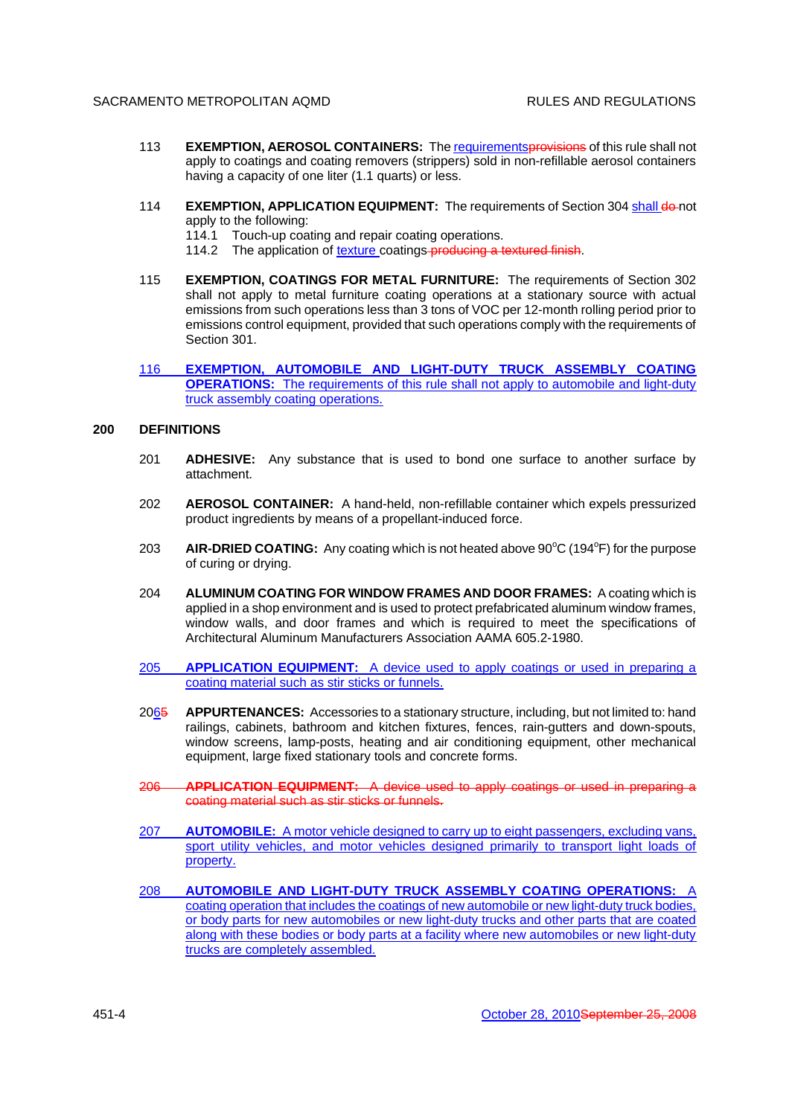- 113 **EXEMPTION, AEROSOL CONTAINERS:** The requirementsprovisions of this rule shall not apply to coatings and coating removers (strippers) sold in non-refillable aerosol containers having a capacity of one liter (1.1 quarts) or less.
- 114 **EXEMPTION, APPLICATION EQUIPMENT:** The requirements of Section 304 shall do-not apply to the following:
	- 114.1 Touch-up coating and repair coating operations.
	- 114.2 The application of texture coatings-producing a textured finish.
- 115 **EXEMPTION, COATINGS FOR METAL FURNITURE:** The requirements of Section 302 shall not apply to metal furniture coating operations at a stationary source with actual emissions from such operations less than 3 tons of VOC per 12-month rolling period prior to emissions control equipment, provided that such operations comply with the requirements of Section 301.
- 116 **EXEMPTION, AUTOMOBILE AND LIGHT-DUTY TRUCK ASSEMBLY COATING OPERATIONS:** The requirements of this rule shall not apply to automobile and light-duty truck assembly coating operations.

# **200 DEFINITIONS**

- 201 **ADHESIVE:** Any substance that is used to bond one surface to another surface by attachment.
- 202 **AEROSOL CONTAINER:** A hand-held, non-refillable container which expels pressurized product ingredients by means of a propellant-induced force.
- 203 **AIR-DRIED COATING:** Any coating which is not heated above 90<sup>o</sup>C (194<sup>o</sup>F) for the purpose of curing or drying.
- 204 **ALUMINUM COATING FOR WINDOW FRAMES AND DOOR FRAMES:** A coating which is applied in a shop environment and is used to protect prefabricated aluminum window frames, window walls, and door frames and which is required to meet the specifications of Architectural Aluminum Manufacturers Association AAMA 605.2-1980.
- 205 **APPLICATION EQUIPMENT:** A device used to apply coatings or used in preparing a coating material such as stir sticks or funnels.
- 2065 **APPURTENANCES:** Accessories to a stationary structure, including, but not limited to: hand railings, cabinets, bathroom and kitchen fixtures, fences, rain-gutters and down-spouts, window screens, lamp-posts, heating and air conditioning equipment, other mechanical equipment, large fixed stationary tools and concrete forms.
- 206 **APPLICATION EQUIPMENT:** A device used to apply coatings or used in preparing a coating material such as stir sticks or funnels.
- 207 **AUTOMOBILE:** A motor vehicle designed to carry up to eight passengers, excluding vans, sport utility vehicles, and motor vehicles designed primarily to transport light loads of property.
- 208 **AUTOMOBILE AND LIGHT-DUTY TRUCK ASSEMBLY COATING OPERATIONS:** A coating operation that includes the coatings of new automobile or new light-duty truck bodies, or body parts for new automobiles or new light-duty trucks and other parts that are coated along with these bodies or body parts at a facility where new automobiles or new light-duty trucks are completely assembled.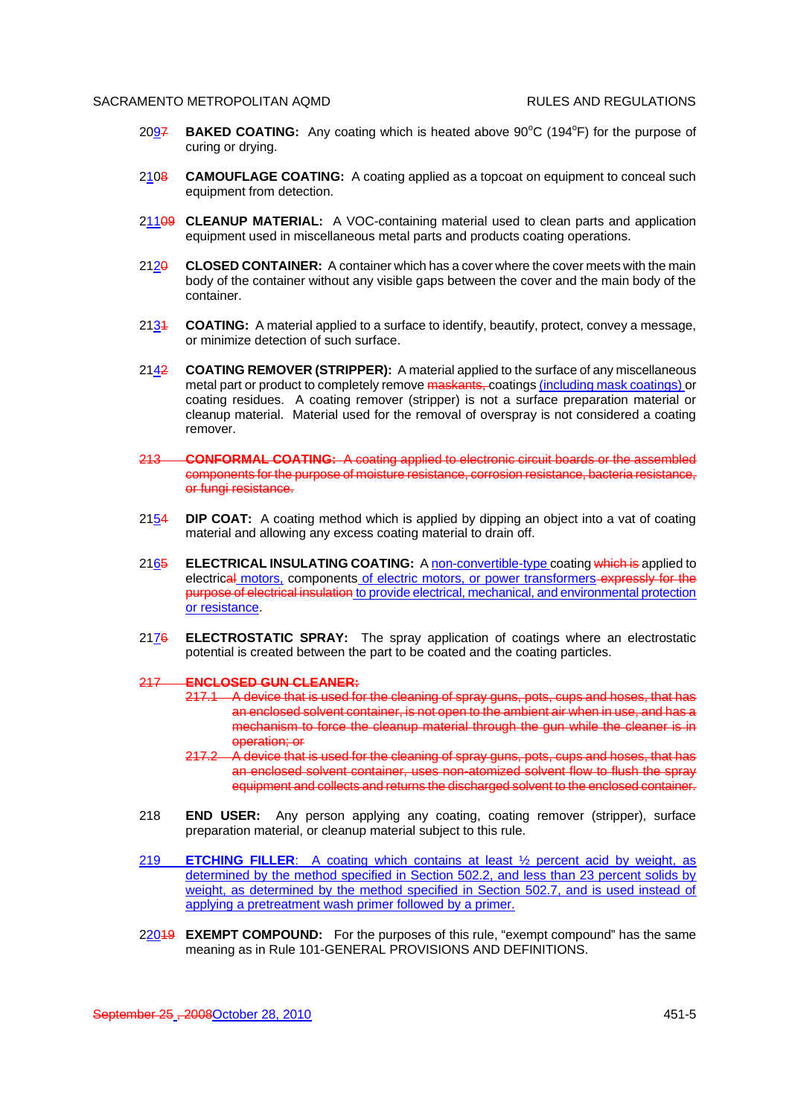- 2097 **BAKED COATING:** Any coating which is heated above 90°C (194°F) for the purpose of curing or drying.
- 2108 **CAMOUFLAGE COATING:** A coating applied as a topcoat on equipment to conceal such equipment from detection.
- 21109 **CLEANUP MATERIAL:** A VOC-containing material used to clean parts and application equipment used in miscellaneous metal parts and products coating operations.
- 212<del>0</del> CLOSED CONTAINER: A container which has a cover where the cover meets with the main body of the container without any visible gaps between the cover and the main body of the container.
- 2131 **COATING:** A material applied to a surface to identify, beautify, protect, convey a message, or minimize detection of such surface.
- 2142 **COATING REMOVER (STRIPPER):** A material applied to the surface of any miscellaneous metal part or product to completely remove maskants, coatings (including mask coatings) or coating residues. A coating remover (stripper) is not a surface preparation material or cleanup material. Material used for the removal of overspray is not considered a coating remover.
- 213 **CONFORMAL COATING:** A coating applied to electronic circuit boards or the assembled components for the purpose of moisture resistance, corrosion resistance, bacteria resistance, or fungi resistance.
- 2154 **DIP COAT:** A coating method which is applied by dipping an object into a vat of coating material and allowing any excess coating material to drain off.
- 2165 **ELECTRICAL INSULATING COATING:** A non-convertible-type coating which is applied to electrical motors, components of electric motors, or power transformers-expressly for the purpose of electrical insulation to provide electrical, mechanical, and environmental protection or resistance.
- 2176 **ELECTROSTATIC SPRAY:** The spray application of coatings where an electrostatic potential is created between the part to be coated and the coating particles.

#### 217 **ENCLOSED GUN CLEANER:**

- 217.1 A device that is used for the cleaning of spray guns, pots, cups and hoses, that has an enclosed solvent container, is not open to the ambient air when in use, and has a mechanism to force the cleanup material through the gun while the cleaner is in operation; or
- 217.2 A device that is used for the cleaning of spray guns, pots, cups and hoses, that has an enclosed solvent container, uses non-atomized solvent flow to flush the spray equipment and collects and returns the discharged solvent to the enclosed container.
- 218 **END USER:** Any person applying any coating, coating remover (stripper), surface preparation material, or cleanup material subject to this rule.
- 219 **ETCHING FILLER**: A coating which contains at least ½ percent acid by weight, as determined by the method specified in Section 502.2, and less than 23 percent solids by weight, as determined by the method specified in Section 502.7, and is used instead of applying a pretreatment wash primer followed by a primer.
- 22049 **EXEMPT COMPOUND:** For the purposes of this rule, "exempt compound" has the same meaning as in Rule 101-GENERAL PROVISIONS AND DEFINITIONS.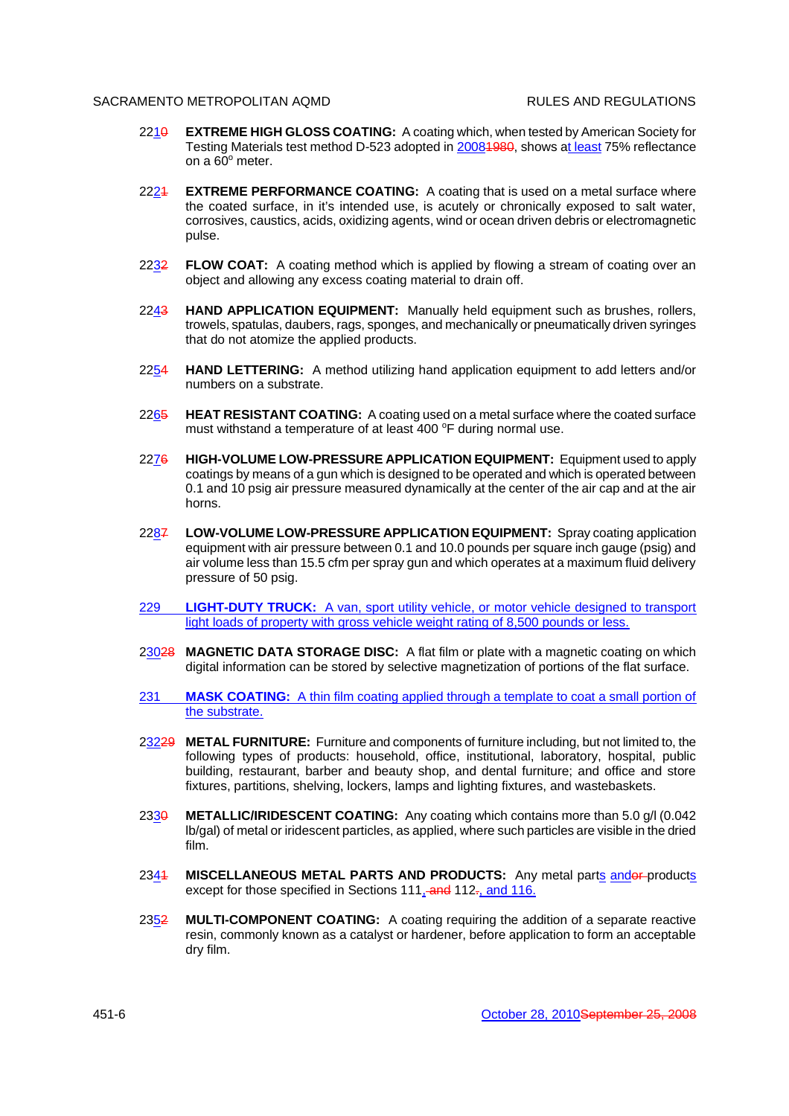- 2210 **EXTREME HIGH GLOSS COATING:** A coating which, when tested by American Society for Testing Materials test method D-523 adopted in 20081980, shows at least 75% reflectance on a  $60^\circ$  meter.
- 2224 **EXTREME PERFORMANCE COATING:** A coating that is used on a metal surface where the coated surface, in it's intended use, is acutely or chronically exposed to salt water, corrosives, caustics, acids, oxidizing agents, wind or ocean driven debris or electromagnetic pulse.
- 2232 **FLOW COAT:** A coating method which is applied by flowing a stream of coating over an object and allowing any excess coating material to drain off.
- 2243 **HAND APPLICATION EQUIPMENT:** Manually held equipment such as brushes, rollers, trowels, spatulas, daubers, rags, sponges, and mechanically or pneumatically driven syringes that do not atomize the applied products.
- 2254 **HAND LETTERING:** A method utilizing hand application equipment to add letters and/or numbers on a substrate.
- 2265 **HEAT RESISTANT COATING:** A coating used on a metal surface where the coated surface must withstand a temperature of at least 400 °F during normal use.
- 2276 **HIGH-VOLUME LOW-PRESSURE APPLICATION EQUIPMENT:** Equipment used to apply coatings by means of a gun which is designed to be operated and which is operated between 0.1 and 10 psig air pressure measured dynamically at the center of the air cap and at the air horns.
- 2287 **LOW-VOLUME LOW-PRESSURE APPLICATION EQUIPMENT:** Spray coating application equipment with air pressure between 0.1 and 10.0 pounds per square inch gauge (psig) and air volume less than 15.5 cfm per spray gun and which operates at a maximum fluid delivery pressure of 50 psig.
- 229 **LIGHT-DUTY TRUCK:** A van, sport utility vehicle, or motor vehicle designed to transport light loads of property with gross vehicle weight rating of 8,500 pounds or less.
- 23028 **MAGNETIC DATA STORAGE DISC:** A flat film or plate with a magnetic coating on which digital information can be stored by selective magnetization of portions of the flat surface.
- 231 **MASK COATING:** A thin film coating applied through a template to coat a small portion of the substrate.
- 23229 **METAL FURNITURE:** Furniture and components of furniture including, but not limited to, the following types of products: household, office, institutional, laboratory, hospital, public building, restaurant, barber and beauty shop, and dental furniture; and office and store fixtures, partitions, shelving, lockers, lamps and lighting fixtures, and wastebaskets.
- 233<del>0</del> **METALLIC/IRIDESCENT COATING:** Any coating which contains more than 5.0 g/l (0.042 lb/gal) of metal or iridescent particles, as applied, where such particles are visible in the dried film.
- 2344 **MISCELLANEOUS METAL PARTS AND PRODUCTS:** Any metal parts and products except for those specified in Sections 111, and 112-, and 116.
- 2352 **MULTI-COMPONENT COATING:** A coating requiring the addition of a separate reactive resin, commonly known as a catalyst or hardener, before application to form an acceptable dry film.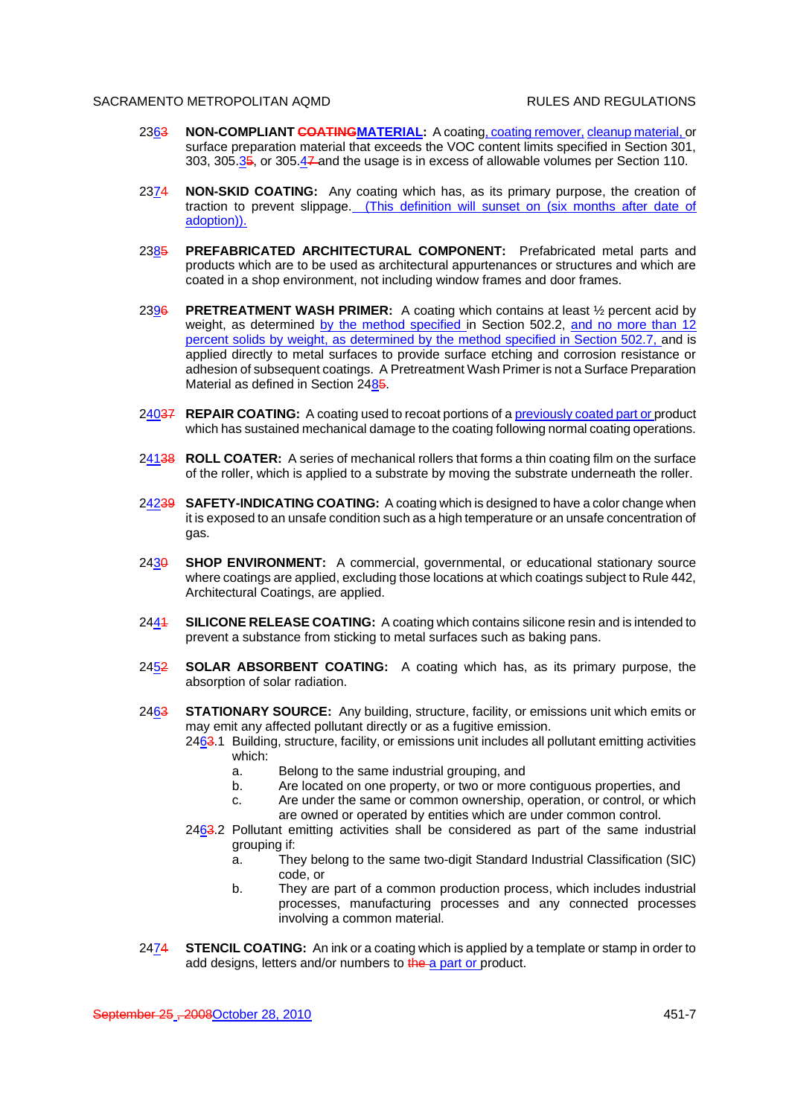- 2363 **NON-COMPLIANT COATINGMATERIAL:** A coating, coating remover, cleanup material, or surface preparation material that exceeds the VOC content limits specified in Section 301, 303, 305.35, or 305.47 and the usage is in excess of allowable volumes per Section 110.
- 2374 **NON-SKID COATING:** Any coating which has, as its primary purpose, the creation of traction to prevent slippage. (This definition will sunset on (six months after date of adoption)).
- 2385 **PREFABRICATED ARCHITECTURAL COMPONENT:** Prefabricated metal parts and products which are to be used as architectural appurtenances or structures and which are coated in a shop environment, not including window frames and door frames.
- 2396 **PRETREATMENT WASH PRIMER:** A coating which contains at least ½ percent acid by weight, as determined by the method specified in Section 502.2, and no more than 12 percent solids by weight, as determined by the method specified in Section 502.7, and is applied directly to metal surfaces to provide surface etching and corrosion resistance or adhesion of subsequent coatings. A Pretreatment Wash Primer is not a Surface Preparation Material as defined in Section 2485.
- 24037 **REPAIR COATING:** A coating used to recoat portions of a previously coated part or product which has sustained mechanical damage to the coating following normal coating operations.
- 24138 **ROLL COATER:** A series of mechanical rollers that forms a thin coating film on the surface of the roller, which is applied to a substrate by moving the substrate underneath the roller.
- 24239 **SAFETY-INDICATING COATING:** A coating which is designed to have a color change when it is exposed to an unsafe condition such as a high temperature or an unsafe concentration of gas.
- 2430 **SHOP ENVIRONMENT:** A commercial, governmental, or educational stationary source where coatings are applied, excluding those locations at which coatings subject to Rule 442, Architectural Coatings, are applied.
- 2441 **SILICONE RELEASE COATING:** A coating which contains silicone resin and is intended to prevent a substance from sticking to metal surfaces such as baking pans.
- 2452 **SOLAR ABSORBENT COATING:** A coating which has, as its primary purpose, the absorption of solar radiation.
- 2463 **STATIONARY SOURCE:** Any building, structure, facility, or emissions unit which emits or may emit any affected pollutant directly or as a fugitive emission.
	- 2463.1 Building, structure, facility, or emissions unit includes all pollutant emitting activities which:
		- a. Belong to the same industrial grouping, and
		- b. Are located on one property, or two or more contiguous properties, and
		- c. Are under the same or common ownership, operation, or control, or which are owned or operated by entities which are under common control.
	- 2463.2 Pollutant emitting activities shall be considered as part of the same industrial grouping if:
		- a. They belong to the same two-digit Standard Industrial Classification (SIC) code, or
		- b. They are part of a common production process, which includes industrial processes, manufacturing processes and any connected processes involving a common material.
- 2474 **STENCIL COATING:** An ink or a coating which is applied by a template or stamp in order to add designs, letters and/or numbers to the a part or product.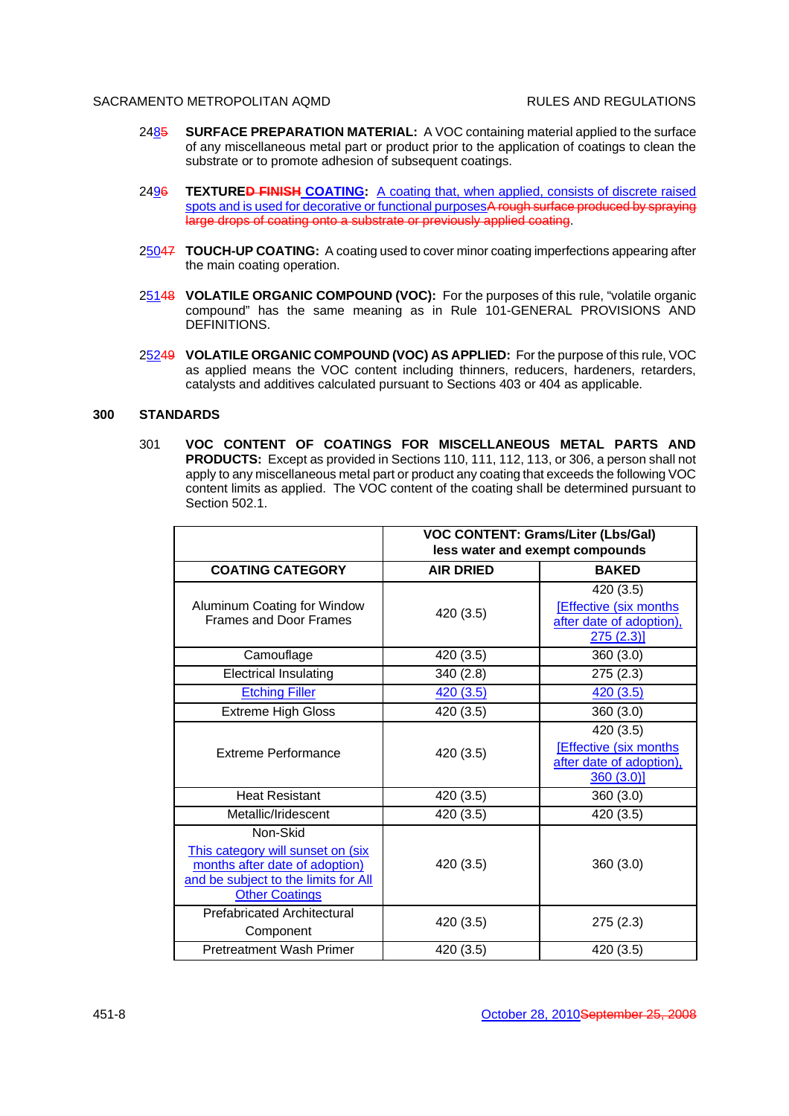- 2485 **SURFACE PREPARATION MATERIAL:** A VOC containing material applied to the surface of any miscellaneous metal part or product prior to the application of coatings to clean the substrate or to promote adhesion of subsequent coatings.
- 2496 **TEXTURED FINISH COATING:** A coating that, when applied, consists of discrete raised spots and is used for decorative or functional purposesA rough surface produced by spraying large drops of coating onto a substrate or previously applied coating.
- 25047 **TOUCH-UP COATING:** A coating used to cover minor coating imperfections appearing after the main coating operation.
- 25148 **VOLATILE ORGANIC COMPOUND (VOC):** For the purposes of this rule, "volatile organic compound" has the same meaning as in Rule 101-GENERAL PROVISIONS AND DEFINITIONS.
- 25249 **VOLATILE ORGANIC COMPOUND (VOC) AS APPLIED:** For the purpose of this rule, VOC as applied means the VOC content including thinners, reducers, hardeners, retarders, catalysts and additives calculated pursuant to Sections 403 or 404 as applicable.

# **300 STANDARDS**

301 **VOC CONTENT OF COATINGS FOR MISCELLANEOUS METAL PARTS AND PRODUCTS:** Except as provided in Sections 110, 111, 112, 113, or 306, a person shall not apply to any miscellaneous metal part or product any coating that exceeds the following VOC content limits as applied. The VOC content of the coating shall be determined pursuant to Section 502.1

|                                                                                                                                                  | <b>VOC CONTENT: Grams/Liter (Lbs/Gal)</b><br>less water and exempt compounds |                                                                                    |  |
|--------------------------------------------------------------------------------------------------------------------------------------------------|------------------------------------------------------------------------------|------------------------------------------------------------------------------------|--|
| <b>COATING CATEGORY</b>                                                                                                                          | <b>AIR DRIED</b>                                                             | <b>BAKED</b>                                                                       |  |
| Aluminum Coating for Window<br><b>Frames and Door Frames</b>                                                                                     | 420 (3.5)                                                                    | 420 (3.5)<br><b>Effective (six months)</b><br>after date of adoption),<br>275(2.3) |  |
| Camouflage                                                                                                                                       | 420 (3.5)                                                                    | 360(3.0)                                                                           |  |
| <b>Electrical Insulating</b>                                                                                                                     | 340 (2.8)                                                                    | 275 (2.3)                                                                          |  |
| <b>Etching Filler</b>                                                                                                                            | 420(3.5)                                                                     | 420 (3.5)                                                                          |  |
| <b>Extreme High Gloss</b>                                                                                                                        | 420 (3.5)                                                                    | 360 (3.0)                                                                          |  |
| Extreme Performance                                                                                                                              | 420 (3.5)                                                                    | 420 (3.5)<br><b>Effective (six months)</b><br>after date of adoption),<br>360(3.0) |  |
| <b>Heat Resistant</b>                                                                                                                            | 420 (3.5)                                                                    | 360(3.0)                                                                           |  |
| Metallic/Iridescent                                                                                                                              | 420 (3.5)                                                                    | 420 (3.5)                                                                          |  |
| Non-Skid<br>This category will sunset on (six<br>months after date of adoption)<br>and be subject to the limits for All<br><b>Other Coatings</b> | 420 (3.5)                                                                    | 360(3.0)                                                                           |  |
| <b>Prefabricated Architectural</b><br>Component                                                                                                  | 420 (3.5)                                                                    | 275(2.3)                                                                           |  |
| <b>Pretreatment Wash Primer</b>                                                                                                                  | 420 (3.5)                                                                    | 420 (3.5)                                                                          |  |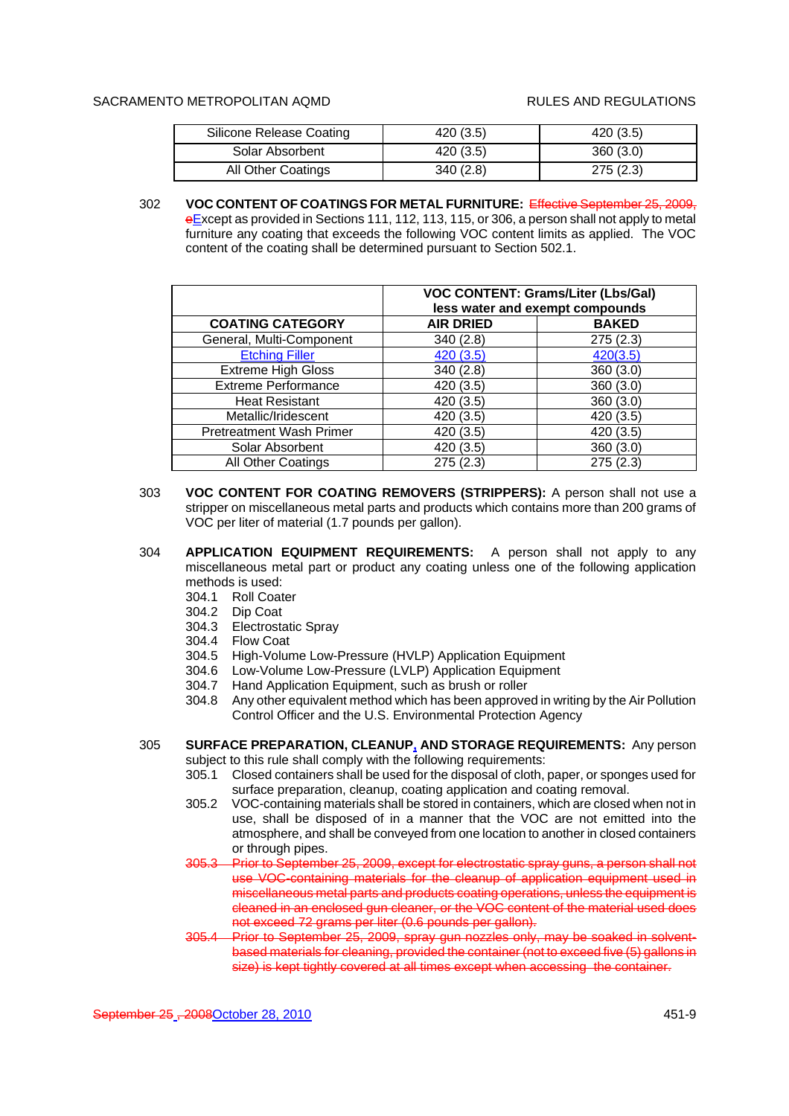| Silicone Release Coating | 420 (3.5) | 420 (3.5) |
|--------------------------|-----------|-----------|
| Solar Absorbent          | 420(3.5)  | 360(3.0)  |
| All Other Coatings       | 340(2.8)  | 275(2.3)  |

302 **VOC CONTENT OF COATINGS FOR METAL FURNITURE:** Effective September 25, 2009, eExcept as provided in Sections 111, 112, 113, 115, or 306, a person shall not apply to metal furniture any coating that exceeds the following VOC content limits as applied. The VOC content of the coating shall be determined pursuant to Section 502.1.

|                                 | <b>VOC CONTENT: Grams/Liter (Lbs/Gal)</b><br>less water and exempt compounds |              |  |
|---------------------------------|------------------------------------------------------------------------------|--------------|--|
| <b>COATING CATEGORY</b>         | <b>AIR DRIED</b>                                                             | <b>BAKED</b> |  |
| General, Multi-Component        | 340(2.8)                                                                     | 275(2.3)     |  |
| <b>Etching Filler</b>           | 420 (3.5)                                                                    | 420(3.5)     |  |
| <b>Extreme High Gloss</b>       | 340 (2.8)                                                                    | 360(3.0)     |  |
| <b>Extreme Performance</b>      | 420 (3.5)                                                                    | 360(3.0)     |  |
| <b>Heat Resistant</b>           | 420 (3.5)                                                                    | 360(3.0)     |  |
| Metallic/Iridescent             | 420 (3.5)                                                                    | 420 (3.5)    |  |
| <b>Pretreatment Wash Primer</b> | 420 (3.5)                                                                    | 420 (3.5)    |  |
| Solar Absorbent                 | 420 (3.5)                                                                    | 360(3.0)     |  |
| All Other Coatings              | 275(2.3)                                                                     | 275 (2.3)    |  |

- 303 **VOC CONTENT FOR COATING REMOVERS (STRIPPERS):** A person shall not use a stripper on miscellaneous metal parts and products which contains more than 200 grams of VOC per liter of material (1.7 pounds per gallon).
- 304 **APPLICATION EQUIPMENT REQUIREMENTS:** A person shall not apply to any miscellaneous metal part or product any coating unless one of the following application methods is used:
	- 304.1 Roll Coater
	- 304.2 Dip Coat
	- 304.3 Electrostatic Spray
	- 304.4 Flow Coat
	- 304.5 High-Volume Low-Pressure (HVLP) Application Equipment
	- 304.6 Low-Volume Low-Pressure (LVLP) Application Equipment
	- 304.7 Hand Application Equipment, such as brush or roller
	- 304.8 Any other equivalent method which has been approved in writing by the Air Pollution Control Officer and the U.S. Environmental Protection Agency
- 305 **SURFACE PREPARATION, CLEANUP, AND STORAGE REQUIREMENTS:** Any person subject to this rule shall comply with the following requirements:
	- 305.1 Closed containers shall be used for the disposal of cloth, paper, or sponges used for surface preparation, cleanup, coating application and coating removal.
	- 305.2 VOC-containing materials shall be stored in containers, which are closed when not in use, shall be disposed of in a manner that the VOC are not emitted into the atmosphere, and shall be conveyed from one location to another in closed containers or through pipes.
	- 305.3 Prior to September 25, 2009, except for electrostatic spray guns, a person shall not use VOC-containing materials for the cleanup of application equipment used in miscellaneous metal parts and products coating operations, unless the equipment is cleaned in an enclosed gun cleaner, or the VOC content of the material used does not exceed 72 grams per liter (0.6 pounds per gallon).
	- 305.4 Prior to September 25, 2009, spray gun nozzles only, may be soaked in solventbased materials for cleaning, provided the container (not to exceed five (5) gallons in size) is kept tightly covered at all times except when accessing the container.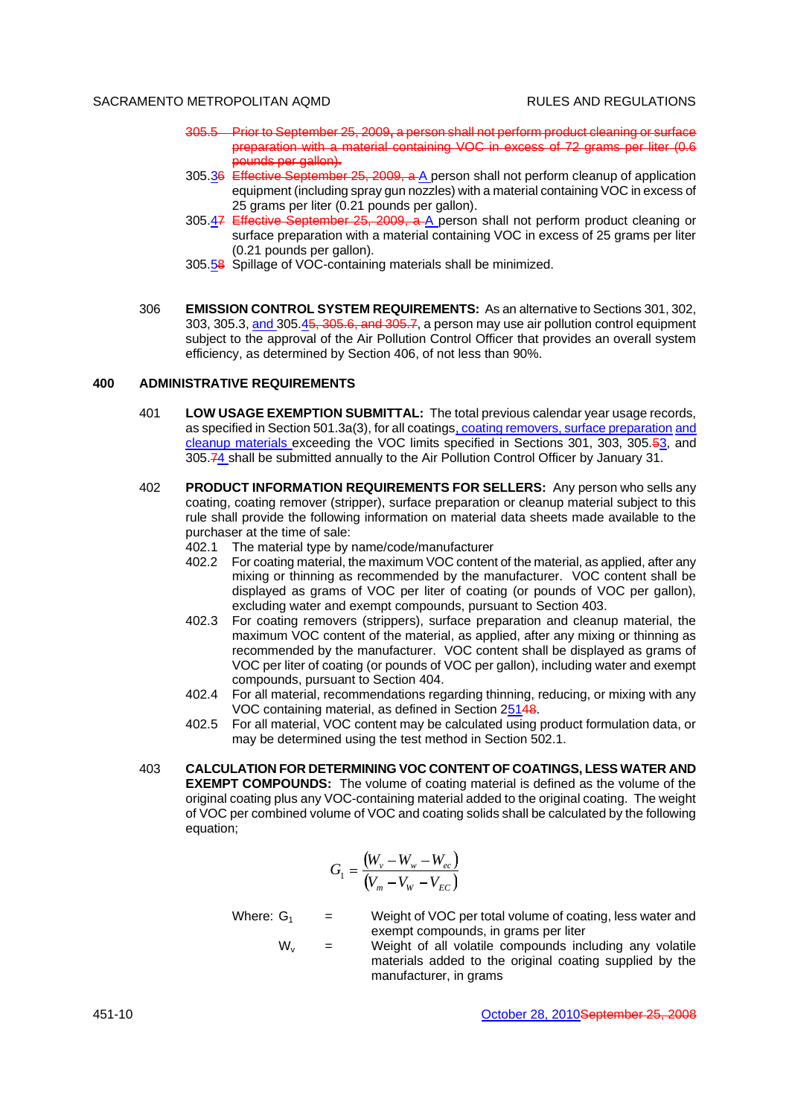- 305.5 Prior to September 25, 2009**,** a person shall not perform product cleaning or surface preparation with a material containing VOC in excess of 72 grams per liter (0.6 pounds per gallon).
- 305.36 Effective September 25, 2009, a A person shall not perform cleanup of application equipment (including spray gun nozzles) with a material containing VOC in excess of 25 grams per liter (0.21 pounds per gallon).
- 305.47 Effective September 25, 2009, a A person shall not perform product cleaning or surface preparation with a material containing VOC in excess of 25 grams per liter (0.21 pounds per gallon).
- 305.58 Spillage of VOC-containing materials shall be minimized.
- 306 **EMISSION CONTROL SYSTEM REQUIREMENTS:** As an alternative to Sections 301, 302, 303, 305.3, and 305.45, 305.6, and 305.7, a person may use air pollution control equipment subject to the approval of the Air Pollution Control Officer that provides an overall system efficiency, as determined by Section 406, of not less than 90%.

### **400 ADMINISTRATIVE REQUIREMENTS**

- 401 **LOW USAGE EXEMPTION SUBMITTAL:** The total previous calendar year usage records, as specified in Section 501.3a(3), for all coatings, coating removers, surface preparation and cleanup materials exceeding the VOC limits specified in Sections 301, 303, 305.53, and 305.74 shall be submitted annually to the Air Pollution Control Officer by January 31.
- 402 **PRODUCT INFORMATION REQUIREMENTS FOR SELLERS:** Any person who sells any coating, coating remover (stripper), surface preparation or cleanup material subject to this rule shall provide the following information on material data sheets made available to the purchaser at the time of sale:
	- 402.1 The material type by name/code/manufacturer
	- 402.2 For coating material, the maximum VOC content of the material, as applied, after any mixing or thinning as recommended by the manufacturer. VOC content shall be displayed as grams of VOC per liter of coating (or pounds of VOC per gallon), excluding water and exempt compounds, pursuant to Section 403.
	- 402.3 For coating removers (strippers), surface preparation and cleanup material, the maximum VOC content of the material, as applied, after any mixing or thinning as recommended by the manufacturer. VOC content shall be displayed as grams of VOC per liter of coating (or pounds of VOC per gallon), including water and exempt compounds, pursuant to Section 404.
	- 402.4 For all material, recommendations regarding thinning, reducing, or mixing with any VOC containing material, as defined in Section 25148.
	- 402.5 For all material, VOC content may be calculated using product formulation data, or may be determined using the test method in Section 502.1.
- 403 **CALCULATION FOR DETERMINING VOC CONTENT OF COATINGS, LESS WATER AND EXEMPT COMPOUNDS:** The volume of coating material is defined as the volume of the original coating plus any VOC-containing material added to the original coating. The weight of VOC per combined volume of VOC and coating solids shall be calculated by the following equation;

$$
G_1 = \frac{(W_v - W_w - W_{ec})}{(V_m - V_w - V_{EC})}
$$

Where:  $G_1$  = Weight of VOC per total volume of coating, less water and exempt compounds, in grams per liter

 $W_v$  = Weight of all volatile compounds including any volatile materials added to the original coating supplied by the manufacturer, in grams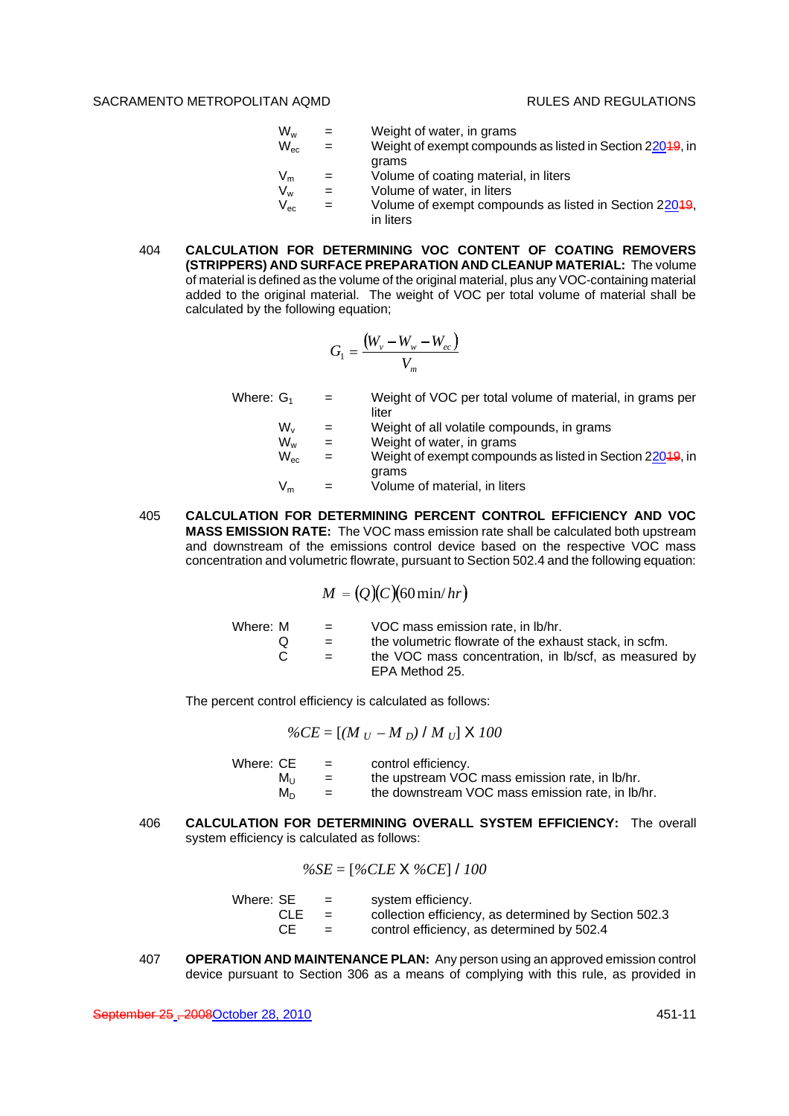- $W_w$  = Weight of water, in grams<br> $W_{ec}$  = Weight of exempt compour  $=$  Weight of exempt compounds as listed in Section 22049, in
	- grams
- $V_m$  = Volume of coating material, in liters<br>  $V_w$  = Volume of water, in liters
	- Volume of water, in liters
- $V_{\text{ec}}$  = Volume of exempt compounds as listed in Section 22049, in liters
- 404 **CALCULATION FOR DETERMINING VOC CONTENT OF COATING REMOVERS (STRIPPERS) AND SURFACE PREPARATION AND CLEANUP MATERIAL:** The volume of material is defined as the volume of the original material, plus any VOC-containing material added to the original material. The weight of VOC per total volume of material shall be calculated by the following equation;

$$
G_1 = \frac{(W_v - W_w - W_{ec})}{V_m}
$$

Where:  $G_1$  = Weight of VOC per total volume of material, in grams per liter  $W_v$  = Weight of all volatile compounds, in grams<br> $W_w$  = Weight of water, in grams  $W_w$  = Weight of water, in grams<br> $W_{\infty}$  = Weight of exempt compour

- $=$  Weight of exempt compounds as listed in Section 22049, in grams
- $V_m$  = Volume of material, in liters
- 405 **CALCULATION FOR DETERMINING PERCENT CONTROL EFFICIENCY AND VOC MASS EMISSION RATE:** The VOC mass emission rate shall be calculated both upstream and downstream of the emissions control device based on the respective VOC mass concentration and volumetric flowrate, pursuant to Section 502.4 and the following equation:

$$
M = (Q)(C)(60 \min/hr)
$$

| Where: M | $\equiv$ | VOC mass emission rate, in Ib/hr.                      |
|----------|----------|--------------------------------------------------------|
|          | $=$      | the volumetric flowrate of the exhaust stack, in scfm. |
| C.       | $=$      | the VOC mass concentration, in Ib/scf, as measured by  |
|          |          | EPA Method 25.                                         |

The percent control efficiency is calculated as follows:

$$
\%CE = [(M_U - M_D) / M_U] \times 100
$$

| Where: CE | $=$ | control efficiency.                              |
|-----------|-----|--------------------------------------------------|
| Mu        | $=$ | the upstream VOC mass emission rate, in lb/hr.   |
| M∩        | $=$ | the downstream VOC mass emission rate, in lb/hr. |

406 **CALCULATION FOR DETERMINING OVERALL SYSTEM EFFICIENCY:** The overall system efficiency is calculated as follows:

$$
\%SE = [\%CLE \times \%CE] / 100
$$

- Where:  $SE$  = system efficiency.
	- CLE = collection efficiency, as determined by Section 502.3
	- $CE =$  control efficiency, as determined by  $502.4$
- 407 **OPERATION AND MAINTENANCE PLAN:** Any person using an approved emission control device pursuant to Section 306 as a means of complying with this rule, as provided in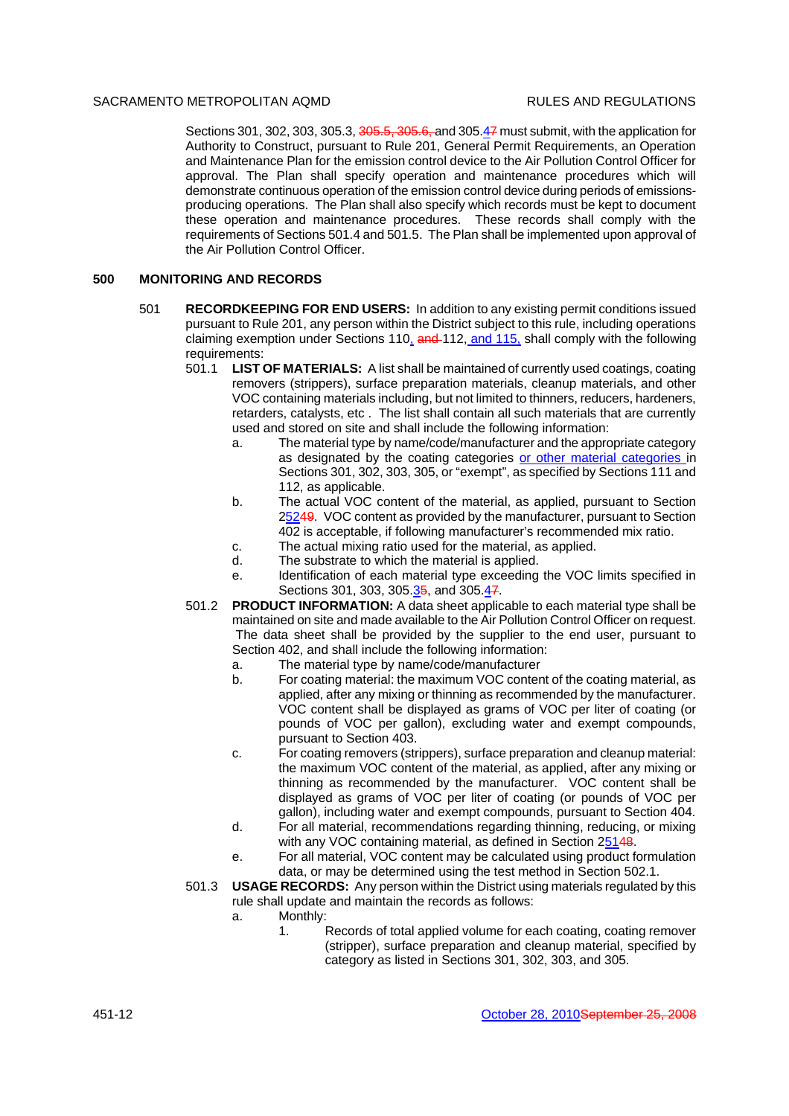Sections 301, 302, 303, 305.3, 305.5, 305.6, and 305.47 must submit, with the application for Authority to Construct, pursuant to Rule 201, General Permit Requirements, an Operation and Maintenance Plan for the emission control device to the Air Pollution Control Officer for approval. The Plan shall specify operation and maintenance procedures which will demonstrate continuous operation of the emission control device during periods of emissionsproducing operations. The Plan shall also specify which records must be kept to document these operation and maintenance procedures. These records shall comply with the requirements of Sections 501.4 and 501.5. The Plan shall be implemented upon approval of the Air Pollution Control Officer.

# **500 MONITORING AND RECORDS**

- 501 **RECORDKEEPING FOR END USERS:** In addition to any existing permit conditions issued pursuant to Rule 201, any person within the District subject to this rule, including operations claiming exemption under Sections  $110<sub>4</sub>$  and  $112$ , and  $115<sub>4</sub>$  shall comply with the following requirements:
	- 501.1 **LIST OF MATERIALS:** A list shall be maintained of currently used coatings, coating removers (strippers), surface preparation materials, cleanup materials, and other VOC containing materials including, but not limited to thinners, reducers, hardeners, retarders, catalysts, etc . The list shall contain all such materials that are currently used and stored on site and shall include the following information:
		- a. The material type by name/code/manufacturer and the appropriate category as designated by the coating categories or other material categories in Sections 301, 302, 303, 305, or "exempt", as specified by Sections 111 and 112, as applicable.
		- b. The actual VOC content of the material, as applied, pursuant to Section 25249. VOC content as provided by the manufacturer, pursuant to Section 402 is acceptable, if following manufacturer's recommended mix ratio.
		- c. The actual mixing ratio used for the material, as applied.
		- d. The substrate to which the material is applied.
		- e. Identification of each material type exceeding the VOC limits specified in Sections 301, 303, 305.35, and 305.47.
	- 501.2 **PRODUCT INFORMATION:** A data sheet applicable to each material type shall be maintained on site and made available to the Air Pollution Control Officer on request. The data sheet shall be provided by the supplier to the end user, pursuant to Section 402, and shall include the following information:
		- a. The material type by name/code/manufacturer
		- b. For coating material: the maximum VOC content of the coating material, as applied, after any mixing or thinning as recommended by the manufacturer. VOC content shall be displayed as grams of VOC per liter of coating (or pounds of VOC per gallon), excluding water and exempt compounds, pursuant to Section 403.
		- c. For coating removers (strippers), surface preparation and cleanup material: the maximum VOC content of the material, as applied, after any mixing or thinning as recommended by the manufacturer. VOC content shall be displayed as grams of VOC per liter of coating (or pounds of VOC per gallon), including water and exempt compounds, pursuant to Section 404.
		- d. For all material, recommendations regarding thinning, reducing, or mixing with any VOC containing material, as defined in Section 25148.
		- e. For all material, VOC content may be calculated using product formulation data, or may be determined using the test method in Section 502.1.
	- 501.3 **USAGE RECORDS:** Any person within the District using materials regulated by this rule shall update and maintain the records as follows:
		- a. Monthly:
			- 1. Records of total applied volume for each coating, coating remover (stripper), surface preparation and cleanup material, specified by category as listed in Sections 301, 302, 303, and 305.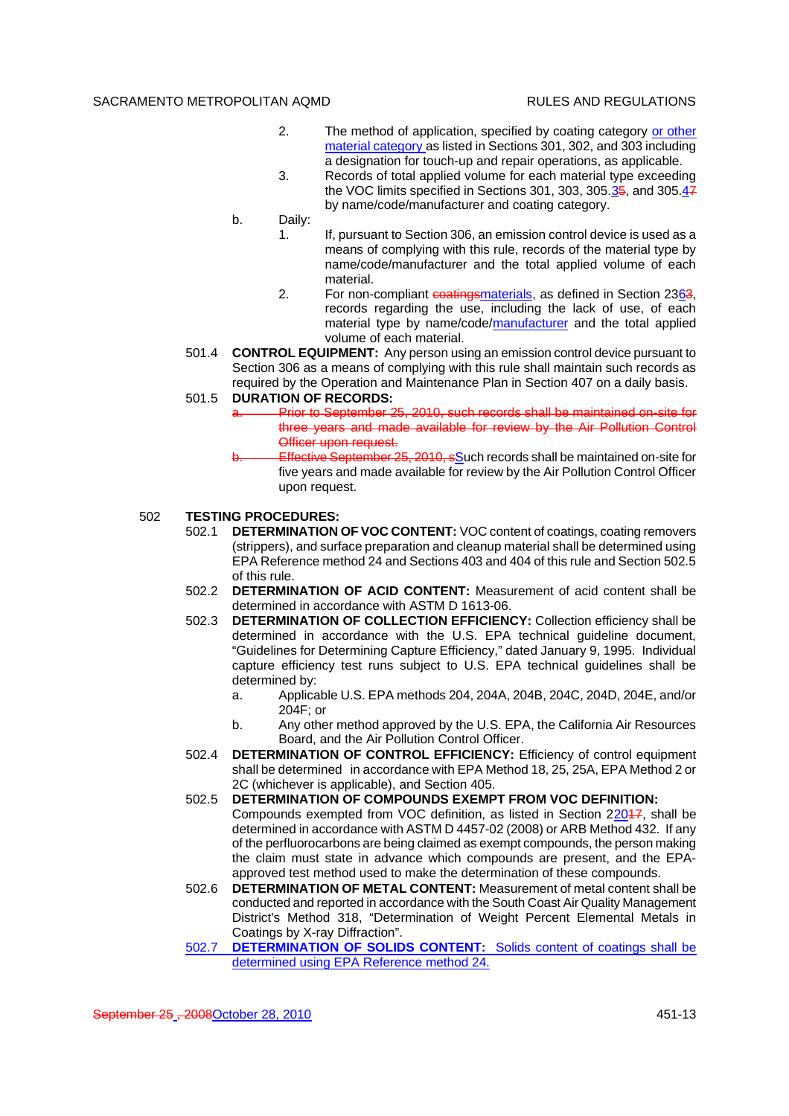- 2. The method of application, specified by coating category or other material category as listed in Sections 301, 302, and 303 including a designation for touch-up and repair operations, as applicable.
- 3. Records of total applied volume for each material type exceeding the VOC limits specified in Sections 301, 303, 305.35, and 305.47 by name/code/manufacturer and coating category.
- b. Daily:
	- 1. If, pursuant to Section 306, an emission control device is used as a means of complying with this rule, records of the material type by name/code/manufacturer and the total applied volume of each material.
	- 2. For non-compliant coatingsmaterials, as defined in Section 2363, records regarding the use, including the lack of use, of each material type by name/code/manufacturer and the total applied volume of each material.
- 501.4 **CONTROL EQUIPMENT:** Any person using an emission control device pursuant to Section 306 as a means of complying with this rule shall maintain such records as required by the Operation and Maintenance Plan in Section 407 on a daily basis.

# 501.5 **DURATION OF RECORDS:**

- Prior to September 25, 2010, such records shall be maintained on-site for three years and made available for review by the Air Pollution Control Officer upon request.
	- Effective September 25, 2010, sSuch records shall be maintained on-site for five years and made available for review by the Air Pollution Control Officer upon request.

# 502 **TESTING PROCEDURES:**

- 502.1 **DETERMINATION OF VOC CONTENT:** VOC content of coatings, coating removers (strippers), and surface preparation and cleanup material shall be determined using EPA Reference method 24 and Sections 403 and 404 of this rule and Section 502.5 of this rule.
- 502.2 **DETERMINATION OF ACID CONTENT:** Measurement of acid content shall be determined in accordance with ASTM D 1613-06.
- 502.3 **DETERMINATION OF COLLECTION EFFICIENCY:** Collection efficiency shall be determined in accordance with the U.S. EPA technical guideline document, "Guidelines for Determining Capture Efficiency," dated January 9, 1995. Individual capture efficiency test runs subject to U.S. EPA technical guidelines shall be determined by:
	- a. Applicable U.S. EPA methods 204, 204A, 204B, 204C, 204D, 204E, and/or 204F; or
	- b. Any other method approved by the U.S. EPA, the California Air Resources Board, and the Air Pollution Control Officer.
- 502.4 **DETERMINATION OF CONTROL EFFICIENCY:** Efficiency of control equipment shall be determined in accordance with EPA Method 18, 25, 25A, EPA Method 2 or 2C (whichever is applicable), and Section 405.
- 502.5 **DETERMINATION OF COMPOUNDS EXEMPT FROM VOC DEFINITION:** Compounds exempted from VOC definition, as listed in Section 22047, shall be determined in accordance with ASTM D 4457-02 (2008) or ARB Method 432. If any of the perfluorocarbons are being claimed as exempt compounds, the person making the claim must state in advance which compounds are present, and the EPAapproved test method used to make the determination of these compounds.
- 502.6 **DETERMINATION OF METAL CONTENT:** Measurement of metal content shall be conducted and reported in accordance with the South Coast Air Quality Management District's Method 318, "Determination of Weight Percent Elemental Metals in Coatings by X-ray Diffraction".
- 502.7 **DETERMINATION OF SOLIDS CONTENT:** Solids content of coatings shall be determined using EPA Reference method 24.